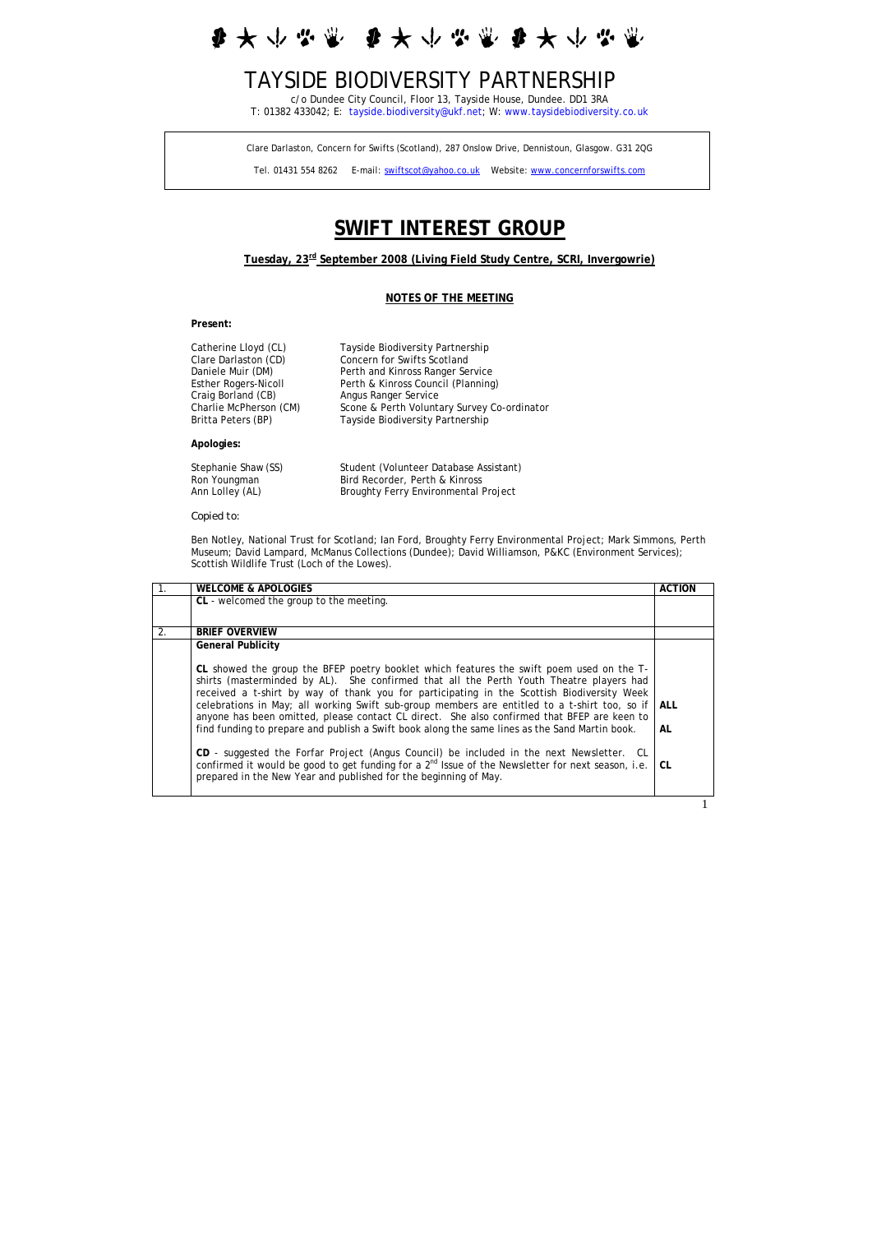李大小兴业  $\mathbf{r}$ 

# TAYSIDE BIODIVERSITY PARTNERSHIP

c/o Dundee City Council, Floor 13, Tayside House, Dundee. DD1 3RA T: 01382 433042; E: [tayside.biodiversity@ukf.net;](mailto:tayside.biodiversity@ukf.net) W: [www.taysidebiodiversity.co.uk](http://www.taysidebiodiversity.co.uk/)

Clare Darlaston, Concern for Swifts (Scotland), 287 Onslow Drive, Dennistoun, Glasgow. G31 2QG

Tel. 01431 554 8262 E-mail: [swiftscot@yahoo.co.uk](mailto:swiftscot@yahoo.co.uk) Website: [www.concernforswifts.com](http://www.concernforswifts.com/)

# **SWIFT INTEREST GROUP**

# **Tuesday, 23rd September 2008 (Living Field Study Centre, SCRI, Invergowrie)**

#### **NOTES OF THE MEETING**

**Present:**

| Catherine Lloyd (CL)        | Tayside Biodiversity Partnership            |
|-----------------------------|---------------------------------------------|
| Clare Darlaston (CD)        | Concern for Swifts Scotland                 |
| Daniele Muir (DM)           | Perth and Kinross Ranger Service            |
| <b>Esther Rogers-Nicoll</b> | Perth & Kinross Council (Planning)          |
| Craig Borland (CB)          | Angus Ranger Service                        |
| Charlie McPherson (CM)      | Scone & Perth Voluntary Survey Co-ordinator |
| Britta Peters (BP)          | Tayside Biodiversity Partnership            |
| Apologies:                  |                                             |
| Stephanie Shaw (SS)         | Student (Volunteer Database Assistant)      |

Ron Youngman Bird Recorder, Perth & Kinross<br>
Ann Lolley (AL) Broughty Ferry Environmental F Broughty Ferry Environmental Project

*Copied to:* 

Ben Notley, National Trust for Scotland; Ian Ford, Broughty Ferry Environmental Project; Mark Simmons, Perth Museum; David Lampard, McManus Collections (Dundee); David Williamson, P&KC (Environment Services); Scottish Wildlife Trust (Loch of the Lowes).

|    | <b>WELCOME &amp; APOLOGIES</b>                                                                                                                                                                                                                                                                                                                                                                                                                                                                                                                                                                                                                                                      | <b>ACTION</b> |
|----|-------------------------------------------------------------------------------------------------------------------------------------------------------------------------------------------------------------------------------------------------------------------------------------------------------------------------------------------------------------------------------------------------------------------------------------------------------------------------------------------------------------------------------------------------------------------------------------------------------------------------------------------------------------------------------------|---------------|
|    | CL - welcomed the group to the meeting.                                                                                                                                                                                                                                                                                                                                                                                                                                                                                                                                                                                                                                             |               |
|    |                                                                                                                                                                                                                                                                                                                                                                                                                                                                                                                                                                                                                                                                                     |               |
| 2. | <b>BRIEF OVERVIEW</b>                                                                                                                                                                                                                                                                                                                                                                                                                                                                                                                                                                                                                                                               |               |
|    | <b>General Publicity</b>                                                                                                                                                                                                                                                                                                                                                                                                                                                                                                                                                                                                                                                            |               |
|    | CL showed the group the BFEP poetry booklet which features the swift poem used on the T-<br>shirts (masterminded by AL). She confirmed that all the Perth Youth Theatre players had<br>received a t-shirt by way of thank you for participating in the Scottish Biodiversity Week<br>celebrations in May; all working Swift sub-group members are entitled to a t-shirt too, so if ALL<br>anyone has been omitted, please contact CL direct. She also confirmed that BFEP are keen to<br>find funding to prepare and publish a Swift book along the same lines as the Sand Martin book.<br>CD - suggested the Forfar Project (Angus Council) be included in the next Newsletter. CL | AL            |
|    | confirmed it would be good to get funding for a $2^{nd}$ Issue of the Newsletter for next season, i.e.<br>prepared in the New Year and published for the beginning of May.                                                                                                                                                                                                                                                                                                                                                                                                                                                                                                          | CL            |

1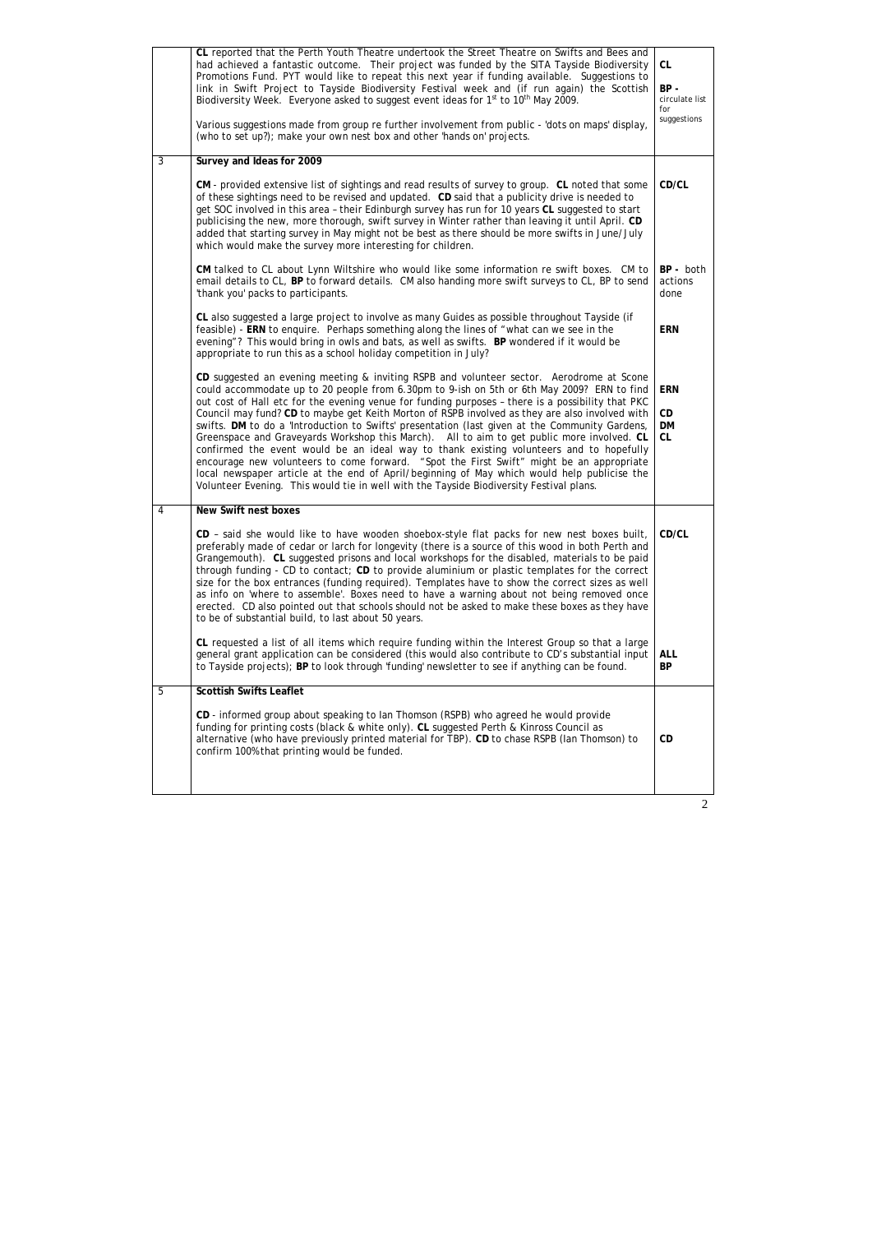|   | CL reported that the Perth Youth Theatre undertook the Street Theatre on Swifts and Bees and<br>had achieved a fantastic outcome. Their project was funded by the SITA Tayside Biodiversity<br>Promotions Fund. PYT would like to repeat this next year if funding available. Suggestions to<br>link in Swift Project to Tayside Biodiversity Festival week and (if run again) the Scottish<br>Biodiversity Week. Everyone asked to suggest event ideas for 1 <sup>st</sup> to 10 <sup>th</sup> May 2009.<br>Various suggestions made from group re further involvement from public - 'dots on maps' display,<br>(who to set up?); make your own nest box and other 'hands on' projects.                                                                                                                                                                                                                                                                                                                                                                                                      | CL<br>BP-<br>circulate list<br>for<br>suggestions |
|---|-----------------------------------------------------------------------------------------------------------------------------------------------------------------------------------------------------------------------------------------------------------------------------------------------------------------------------------------------------------------------------------------------------------------------------------------------------------------------------------------------------------------------------------------------------------------------------------------------------------------------------------------------------------------------------------------------------------------------------------------------------------------------------------------------------------------------------------------------------------------------------------------------------------------------------------------------------------------------------------------------------------------------------------------------------------------------------------------------|---------------------------------------------------|
| 3 | Survey and Ideas for 2009                                                                                                                                                                                                                                                                                                                                                                                                                                                                                                                                                                                                                                                                                                                                                                                                                                                                                                                                                                                                                                                                     |                                                   |
|   | CM - provided extensive list of sightings and read results of survey to group. CL noted that some<br>of these sightings need to be revised and updated. CD said that a publicity drive is needed to<br>get SOC involved in this area - their Edinburgh survey has run for 10 years CL suggested to start<br>publicising the new, more thorough, swift survey in Winter rather than leaving it until April. CD<br>added that starting survey in May might not be best as there should be more swifts in June/July<br>which would make the survey more interesting for children.                                                                                                                                                                                                                                                                                                                                                                                                                                                                                                                | CD/CL                                             |
|   | CM talked to CL about Lynn Wiltshire who would like some information re swift boxes. CM to<br>email details to CL, BP to forward details. CM also handing more swift surveys to CL, BP to send<br>'thank you' packs to participants.                                                                                                                                                                                                                                                                                                                                                                                                                                                                                                                                                                                                                                                                                                                                                                                                                                                          | BP - both<br>actions<br>done                      |
|   | CL also suggested a large project to involve as many Guides as possible throughout Tayside (if<br>feasible) - ERN to enquire. Perhaps something along the lines of "what can we see in the<br>evening"? This would bring in owls and bats, as well as swifts. BP wondered if it would be<br>appropriate to run this as a school holiday competition in July?                                                                                                                                                                                                                                                                                                                                                                                                                                                                                                                                                                                                                                                                                                                                  | <b>ERN</b>                                        |
|   | CD suggested an evening meeting & inviting RSPB and volunteer sector. Aerodrome at Scone<br>could accommodate up to 20 people from 6.30pm to 9-ish on 5th or 6th May 2009? ERN to find<br>out cost of Hall etc for the evening venue for funding purposes - there is a possibility that PKC<br>Council may fund? CD to maybe get Keith Morton of RSPB involved as they are also involved with<br>swifts. DM to do a 'Introduction to Swifts' presentation (last given at the Community Gardens,<br>Greenspace and Graveyards Workshop this March). All to aim to get public more involved. CL<br>confirmed the event would be an ideal way to thank existing volunteers and to hopefully<br>encourage new volunteers to come forward. "Spot the First Swift" might be an appropriate<br>local newspaper article at the end of April/beginning of May which would help publicise the<br>Volunteer Evening. This would tie in well with the Tayside Biodiversity Festival plans.                                                                                                                | <b>ERN</b><br>CD<br><b>DM</b><br>CL               |
|   | New Swift nest boxes<br>CD - said she would like to have wooden shoebox-style flat packs for new nest boxes built,<br>preferably made of cedar or larch for longevity (there is a source of this wood in both Perth and<br>Grangemouth). CL suggested prisons and local workshops for the disabled, materials to be paid<br>through funding - CD to contact; CD to provide aluminium or plastic templates for the correct<br>size for the box entrances (funding required). Templates have to show the correct sizes as well<br>as info on 'where to assemble'. Boxes need to have a warning about not being removed once<br>erected. CD also pointed out that schools should not be asked to make these boxes as they have<br>to be of substantial build, to last about 50 years.<br>CL requested a list of all items which require funding within the Interest Group so that a large<br>general grant application can be considered (this would also contribute to CD's substantial input<br>to Tayside projects); BP to look through 'funding' newsletter to see if anything can be found. | CD/CL<br><b>ALL</b><br><b>BP</b>                  |
| 5 | <b>Scottish Swifts Leaflet</b>                                                                                                                                                                                                                                                                                                                                                                                                                                                                                                                                                                                                                                                                                                                                                                                                                                                                                                                                                                                                                                                                |                                                   |
|   | CD - informed group about speaking to lan Thomson (RSPB) who agreed he would provide<br>funding for printing costs (black & white only). CL suggested Perth & Kinross Council as<br>alternative (who have previously printed material for TBP). CD to chase RSPB (lan Thomson) to<br>confirm 100% that printing would be funded.                                                                                                                                                                                                                                                                                                                                                                                                                                                                                                                                                                                                                                                                                                                                                              | CD                                                |
|   |                                                                                                                                                                                                                                                                                                                                                                                                                                                                                                                                                                                                                                                                                                                                                                                                                                                                                                                                                                                                                                                                                               |                                                   |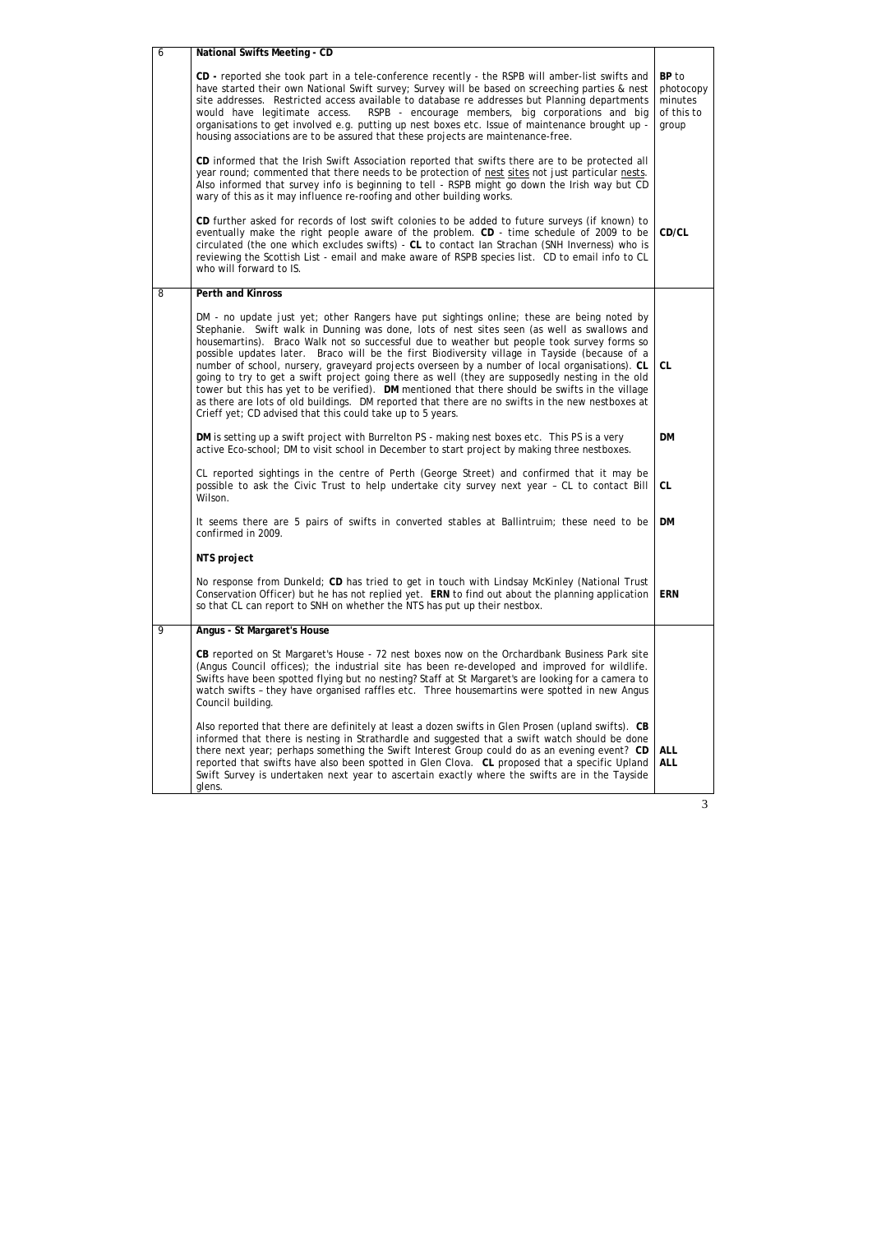| 6 | <b>National Swifts Meeting - CD</b>                                                                                                                                                                                                                                                                                                                                                                                                                                                                                                                                                                                                                                                                                                                                                                                                                                |                                                      |
|---|--------------------------------------------------------------------------------------------------------------------------------------------------------------------------------------------------------------------------------------------------------------------------------------------------------------------------------------------------------------------------------------------------------------------------------------------------------------------------------------------------------------------------------------------------------------------------------------------------------------------------------------------------------------------------------------------------------------------------------------------------------------------------------------------------------------------------------------------------------------------|------------------------------------------------------|
|   | CD - reported she took part in a tele-conference recently - the RSPB will amber-list swifts and<br>have started their own National Swift survey; Survey will be based on screeching parties & nest<br>site addresses. Restricted access available to database re addresses but Planning departments<br>RSPB - encourage members, big corporations and big<br>would have legitimate access.<br>organisations to get involved e.g. putting up nest boxes etc. Issue of maintenance brought up -<br>housing associations are to be assured that these projects are maintenance-free.                                                                                                                                                                                                                                                                                  | BP to<br>photocopy<br>minutes<br>of this to<br>group |
|   | CD informed that the Irish Swift Association reported that swifts there are to be protected all<br>year round; commented that there needs to be protection of nest sites not just particular nests.<br>Also informed that survey info is beginning to tell - RSPB might go down the Irish way but CD<br>wary of this as it may influence re-roofing and other building works.                                                                                                                                                                                                                                                                                                                                                                                                                                                                                      |                                                      |
|   | CD further asked for records of lost swift colonies to be added to future surveys (if known) to<br>eventually make the right people aware of the problem. CD - time schedule of 2009 to be<br>circulated (the one which excludes swifts) - CL to contact Ian Strachan (SNH Inverness) who is<br>reviewing the Scottish List - email and make aware of RSPB species list. CD to email info to CL<br>who will forward to IS.                                                                                                                                                                                                                                                                                                                                                                                                                                         | CD/CL                                                |
| 8 | <b>Perth and Kinross</b>                                                                                                                                                                                                                                                                                                                                                                                                                                                                                                                                                                                                                                                                                                                                                                                                                                           |                                                      |
|   | DM - no update just yet; other Rangers have put sightings online; these are being noted by<br>Stephanie. Swift walk in Dunning was done, lots of nest sites seen (as well as swallows and<br>housemartins). Braco Walk not so successful due to weather but people took survey forms so<br>possible updates later. Braco will be the first Biodiversity village in Tayside (because of a<br>number of school, nursery, graveyard projects overseen by a number of local organisations). CL<br>going to try to get a swift project going there as well (they are supposedly nesting in the old<br>tower but this has yet to be verified). DM mentioned that there should be swifts in the village<br>as there are lots of old buildings. DM reported that there are no swifts in the new nestboxes at<br>Crieff yet; CD advised that this could take up to 5 years. | <b>CL</b>                                            |
|   | DM is setting up a swift project with Burrelton PS - making nest boxes etc. This PS is a very<br>active Eco-school; DM to visit school in December to start project by making three nestboxes.                                                                                                                                                                                                                                                                                                                                                                                                                                                                                                                                                                                                                                                                     |                                                      |
|   | CL reported sightings in the centre of Perth (George Street) and confirmed that it may be<br>possible to ask the Civic Trust to help undertake city survey next year - CL to contact Bill<br>Wilson.                                                                                                                                                                                                                                                                                                                                                                                                                                                                                                                                                                                                                                                               | CL                                                   |
|   | It seems there are 5 pairs of swifts in converted stables at Ballintruim; these need to be<br>confirmed in 2009.                                                                                                                                                                                                                                                                                                                                                                                                                                                                                                                                                                                                                                                                                                                                                   |                                                      |
|   | NTS project                                                                                                                                                                                                                                                                                                                                                                                                                                                                                                                                                                                                                                                                                                                                                                                                                                                        |                                                      |
|   | No response from Dunkeld; CD has tried to get in touch with Lindsay McKinley (National Trust<br>Conservation Officer) but he has not replied yet. ERN to find out about the planning application<br>so that CL can report to SNH on whether the NTS has put up their nestbox.                                                                                                                                                                                                                                                                                                                                                                                                                                                                                                                                                                                      | <b>ERN</b>                                           |
| 9 | Angus - St Margaret's House                                                                                                                                                                                                                                                                                                                                                                                                                                                                                                                                                                                                                                                                                                                                                                                                                                        |                                                      |
|   | CB reported on St Margaret's House - 72 nest boxes now on the Orchardbank Business Park site<br>(Angus Council offices); the industrial site has been re-developed and improved for wildlife.<br>Swifts have been spotted flying but no nesting? Staff at St Margaret's are looking for a camera to<br>watch swifts - they have organised raffles etc. Three housemartins were spotted in new Angus<br>Council building.                                                                                                                                                                                                                                                                                                                                                                                                                                           |                                                      |
|   | Also reported that there are definitely at least a dozen swifts in Glen Prosen (upland swifts). CB<br>informed that there is nesting in Strathardle and suggested that a swift watch should be done<br>there next year; perhaps something the Swift Interest Group could do as an evening event? CD<br>reported that swifts have also been spotted in Glen Clova. CL proposed that a specific Upland<br>Swift Survey is undertaken next year to ascertain exactly where the swifts are in the Tayside<br>glens.                                                                                                                                                                                                                                                                                                                                                    | <b>ALL</b><br><b>ALL</b>                             |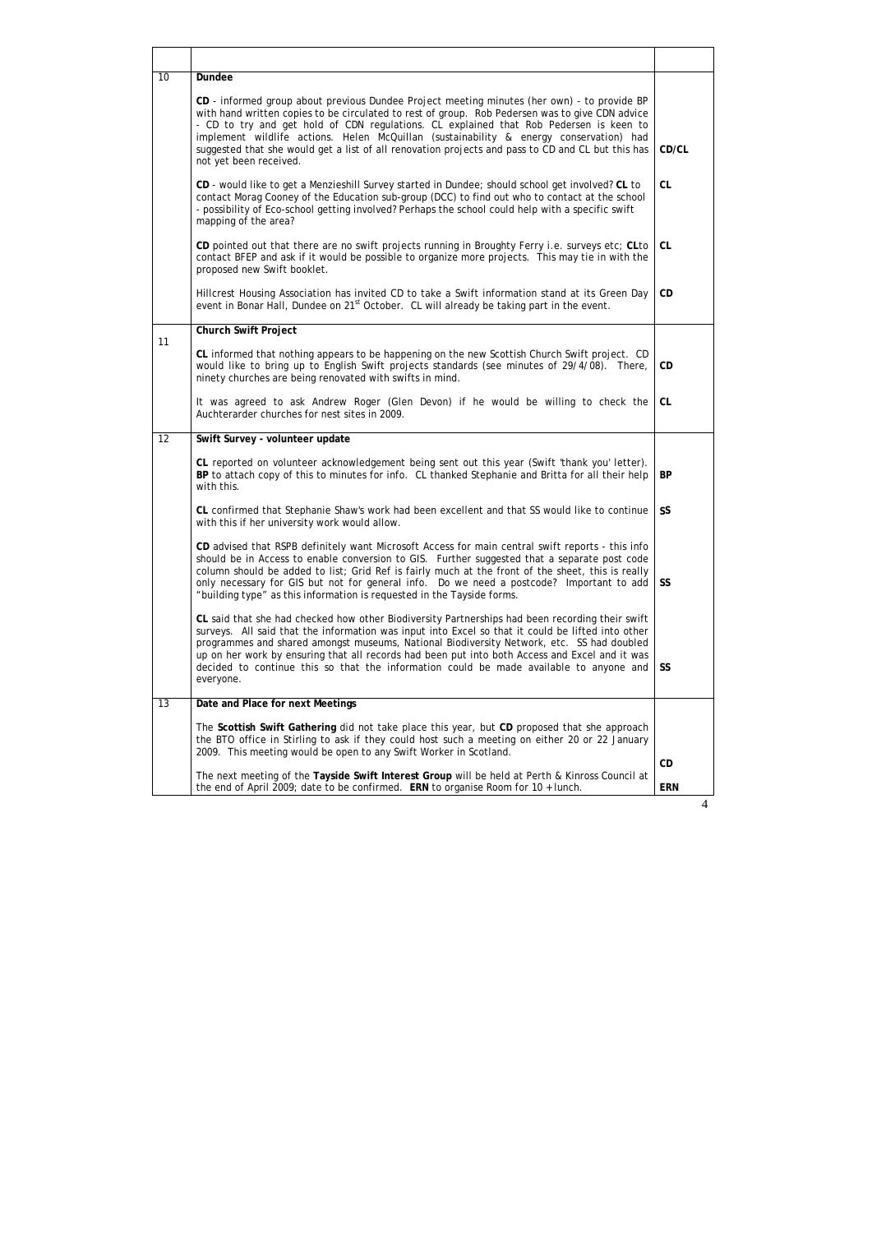| 10                                                                                                                                                                                   | Dundee<br>CD - informed group about previous Dundee Project meeting minutes (her own) - to provide BP                                                                                                                                                                                                                                                                                                                                                                                                      |                  |  |  |
|--------------------------------------------------------------------------------------------------------------------------------------------------------------------------------------|------------------------------------------------------------------------------------------------------------------------------------------------------------------------------------------------------------------------------------------------------------------------------------------------------------------------------------------------------------------------------------------------------------------------------------------------------------------------------------------------------------|------------------|--|--|
|                                                                                                                                                                                      | CD/CL                                                                                                                                                                                                                                                                                                                                                                                                                                                                                                      |                  |  |  |
|                                                                                                                                                                                      | CD - would like to get a Menzieshill Survey started in Dundee; should school get involved? CL to<br>contact Morag Cooney of the Education sub-group (DCC) to find out who to contact at the school<br>- possibility of Eco-school getting involved? Perhaps the school could help with a specific swift<br>mapping of the area?                                                                                                                                                                            | <b>CL</b>        |  |  |
|                                                                                                                                                                                      | CD pointed out that there are no swift projects running in Broughty Ferry i.e. surveys etc; CLto<br>contact BFEP and ask if it would be possible to organize more projects. This may tie in with the<br>proposed new Swift booklet.                                                                                                                                                                                                                                                                        | <b>CL</b>        |  |  |
|                                                                                                                                                                                      | Hillcrest Housing Association has invited CD to take a Swift information stand at its Green Day<br>event in Bonar Hall, Dundee on 21 <sup>st</sup> October. CL will already be taking part in the event.                                                                                                                                                                                                                                                                                                   | CD               |  |  |
| 11                                                                                                                                                                                   | <b>Church Swift Project</b>                                                                                                                                                                                                                                                                                                                                                                                                                                                                                |                  |  |  |
|                                                                                                                                                                                      | CL informed that nothing appears to be happening on the new Scottish Church Swift project. CD<br>would like to bring up to English Swift projects standards (see minutes of 29/4/08). There,<br>ninety churches are being renovated with swifts in mind.                                                                                                                                                                                                                                                   | CD.              |  |  |
|                                                                                                                                                                                      | It was agreed to ask Andrew Roger (Glen Devon) if he would be willing to check the<br>Auchterarder churches for nest sites in 2009.                                                                                                                                                                                                                                                                                                                                                                        | CL.              |  |  |
| 12                                                                                                                                                                                   | Swift Survey - volunteer update                                                                                                                                                                                                                                                                                                                                                                                                                                                                            |                  |  |  |
|                                                                                                                                                                                      | CL reported on volunteer acknowledgement being sent out this year (Swift 'thank you' letter).<br>BP to attach copy of this to minutes for info. CL thanked Stephanie and Britta for all their help<br>with this.                                                                                                                                                                                                                                                                                           | <b>BP</b>        |  |  |
| CL confirmed that Stephanie Shaw's work had been excellent and that SS would like to continue SS<br>with this if her university work would allow.                                    |                                                                                                                                                                                                                                                                                                                                                                                                                                                                                                            |                  |  |  |
|                                                                                                                                                                                      | CD advised that RSPB definitely want Microsoft Access for main central swift reports - this info<br>should be in Access to enable conversion to GIS. Further suggested that a separate post code<br>column should be added to list; Grid Ref is fairly much at the front of the sheet, this is really<br>only necessary for GIS but not for general info. Do we need a postcode? Important to add<br>"building type" as this information is requested in the Tayside forms.                                | <b>SS</b>        |  |  |
|                                                                                                                                                                                      | CL said that she had checked how other Biodiversity Partnerships had been recording their swift<br>surveys. All said that the information was input into Excel so that it could be lifted into other<br>programmes and shared amongst museums, National Biodiversity Network, etc. SS had doubled<br>up on her work by ensuring that all records had been put into both Access and Excel and it was<br>decided to continue this so that the information could be made available to anyone and<br>everyone. | <b>SS</b>        |  |  |
| 13                                                                                                                                                                                   | Date and Place for next Meetings                                                                                                                                                                                                                                                                                                                                                                                                                                                                           |                  |  |  |
|                                                                                                                                                                                      | The Scottish Swift Gathering did not take place this year, but CD proposed that she approach<br>the BTO office in Stirling to ask if they could host such a meeting on either 20 or 22 January<br>2009. This meeting would be open to any Swift Worker in Scotland.                                                                                                                                                                                                                                        |                  |  |  |
| The next meeting of the Tayside Swift Interest Group will be held at Perth & Kinross Council at<br>the end of April 2009; date to be confirmed. ERN to organise Room for 10 + lunch. |                                                                                                                                                                                                                                                                                                                                                                                                                                                                                                            | CD<br><b>ERN</b> |  |  |
|                                                                                                                                                                                      |                                                                                                                                                                                                                                                                                                                                                                                                                                                                                                            |                  |  |  |